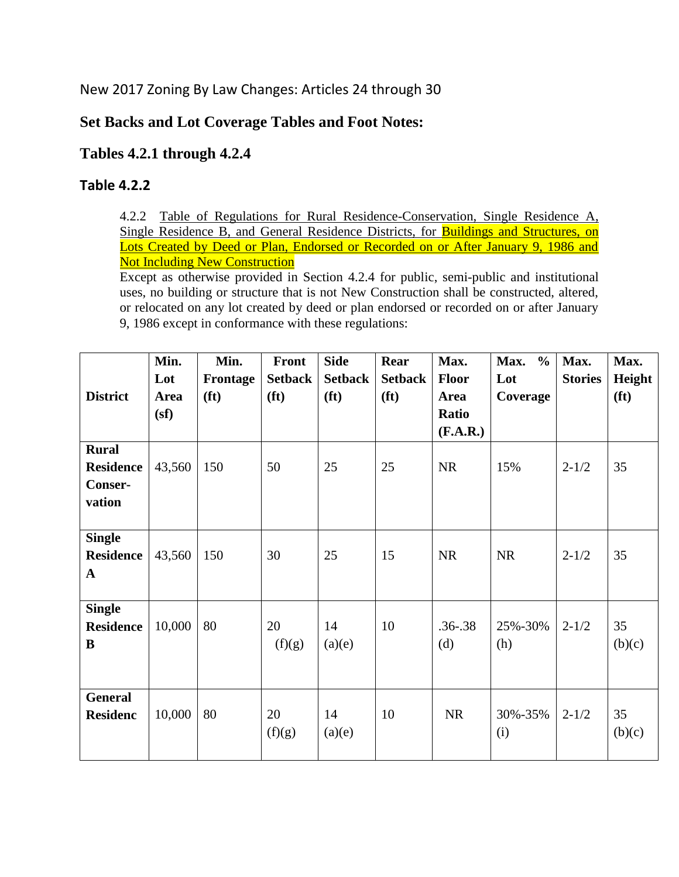New 2017 Zoning By Law Changes: Articles 24 through 30

## **Set Backs and Lot Coverage Tables and Foot Notes:**

## **Tables 4.2.1 through 4.2.4**

## **Table 4.2.2**

4.2.2 Table of Regulations for Rural Residence-Conservation, Single Residence A, Single Residence B, and General Residence Districts, for Buildings and Structures, on Lots Created by Deed or Plan, Endorsed or Recorded on or After January 9, 1986 and Not Including New Construction

Except as otherwise provided in Section 4.2.4 for public, semi-public and institutional uses, no building or structure that is not New Construction shall be constructed, altered, or relocated on any lot created by deed or plan endorsed or recorded on or after January 9, 1986 except in conformance with these regulations:

|                  | Min.   | Min.              | <b>Front</b>      | <b>Side</b>       | Rear              | Max.         | $\frac{0}{0}$<br>Max. | Max.           | Max.              |
|------------------|--------|-------------------|-------------------|-------------------|-------------------|--------------|-----------------------|----------------|-------------------|
|                  | Lot    | Frontage          | <b>Setback</b>    | <b>Setback</b>    | <b>Setback</b>    | <b>Floor</b> | Lot                   | <b>Stories</b> | Height            |
| <b>District</b>  | Area   | (f <sub>t</sub> ) | (f <sup>t</sup> ) | (f <sup>t</sup> ) | (f <sup>t</sup> ) | Area         | Coverage              |                | (f <sup>t</sup> ) |
|                  | (sf)   |                   |                   |                   |                   | Ratio        |                       |                |                   |
|                  |        |                   |                   |                   |                   | (F.A.R.)     |                       |                |                   |
| <b>Rural</b>     |        |                   |                   |                   |                   |              |                       |                |                   |
| <b>Residence</b> | 43,560 | 150               | 50                | 25                | 25                | <b>NR</b>    | 15%                   | $2 - 1/2$      | 35                |
| Conser-          |        |                   |                   |                   |                   |              |                       |                |                   |
| vation           |        |                   |                   |                   |                   |              |                       |                |                   |
|                  |        |                   |                   |                   |                   |              |                       |                |                   |
| <b>Single</b>    |        |                   |                   |                   |                   |              |                       |                |                   |
| <b>Residence</b> | 43,560 | 150               | 30                | 25                | 15                | <b>NR</b>    | <b>NR</b>             | $2 - 1/2$      | 35                |
| $\mathbf{A}$     |        |                   |                   |                   |                   |              |                       |                |                   |
|                  |        |                   |                   |                   |                   |              |                       |                |                   |
| <b>Single</b>    |        |                   |                   |                   |                   |              |                       |                |                   |
| <b>Residence</b> | 10,000 | 80                | 20                | 14                | 10                | $.36 - .38$  | 25%-30%               | $2 - 1/2$      | 35                |
| B                |        |                   | (f)(g)            | (a)(e)            |                   | (d)          | (h)                   |                | (b)(c)            |
|                  |        |                   |                   |                   |                   |              |                       |                |                   |
|                  |        |                   |                   |                   |                   |              |                       |                |                   |
| <b>General</b>   |        |                   |                   |                   |                   |              |                       |                |                   |
| <b>Residenc</b>  | 10,000 | 80                | 20                | 14                | 10                | <b>NR</b>    | 30%-35%               | $2 - 1/2$      | 35                |
|                  |        |                   | (f)(g)            | (a)(e)            |                   |              | (i)                   |                | (b)(c)            |
|                  |        |                   |                   |                   |                   |              |                       |                |                   |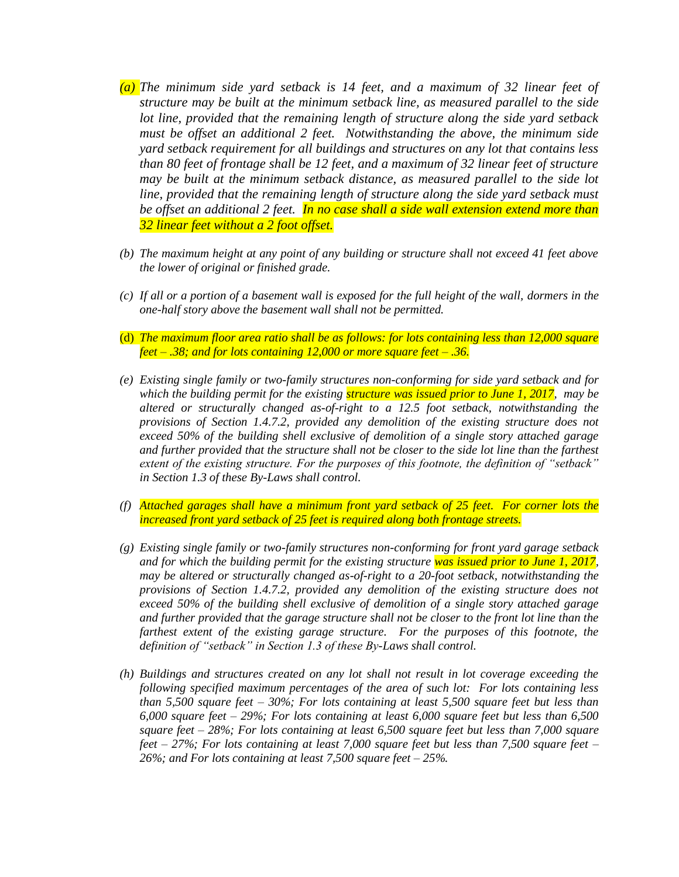- *(a) The minimum side yard setback is 14 feet, and a maximum of 32 linear feet of structure may be built at the minimum setback line, as measured parallel to the side lot line, provided that the remaining length of structure along the side yard setback must be offset an additional 2 feet. Notwithstanding the above, the minimum side yard setback requirement for all buildings and structures on any lot that contains less than 80 feet of frontage shall be 12 feet, and a maximum of 32 linear feet of structure may be built at the minimum setback distance, as measured parallel to the side lot*  line, provided that the remaining length of structure along the side yard setback must *be offset an additional 2 feet. In no case shall a side wall extension extend more than 32 linear feet without a 2 foot offset.*
- *(b) The maximum height at any point of any building or structure shall not exceed 41 feet above the lower of original or finished grade.*
- *(c) If all or a portion of a basement wall is exposed for the full height of the wall, dormers in the one-half story above the basement wall shall not be permitted.*
- (d) *The maximum floor area ratio shall be as follows: for lots containing less than 12,000 square feet – .38; and for lots containing 12,000 or more square feet – .36.*
- *(e) Existing single family or two-family structures non-conforming for side yard setback and for which the building permit for the existing structure was issued prior to June 1, 2017, may be altered or structurally changed as-of-right to a 12.5 foot setback, notwithstanding the provisions of Section 1.4.7.2, provided any demolition of the existing structure does not exceed 50% of the building shell exclusive of demolition of a single story attached garage and further provided that the structure shall not be closer to the side lot line than the farthest extent of the existing structure. For the purposes of this footnote, the definition of "setback" in Section 1.3 of these By-Laws shall control.*
- *(f) Attached garages shall have a minimum front yard setback of 25 feet. For corner lots the increased front yard setback of 25 feet is required along both frontage streets.*
- *(g) Existing single family or two-family structures non-conforming for front yard garage setback and for which the building permit for the existing structure was issued prior to June 1, 2017, may be altered or structurally changed as-of-right to a 20-foot setback, notwithstanding the provisions of Section 1.4.7.2, provided any demolition of the existing structure does not exceed 50% of the building shell exclusive of demolition of a single story attached garage and further provided that the garage structure shall not be closer to the front lot line than the*  farthest extent of the existing garage structure. For the purposes of this footnote, the *definition of "setback" in Section 1.3 of these By-Laws shall control.*
- *(h) Buildings and structures created on any lot shall not result in lot coverage exceeding the following specified maximum percentages of the area of such lot: For lots containing less than 5,500 square feet – 30%; For lots containing at least 5,500 square feet but less than 6,000 square feet – 29%; For lots containing at least 6,000 square feet but less than 6,500 square feet – 28%; For lots containing at least 6,500 square feet but less than 7,000 square feet – 27%; For lots containing at least 7,000 square feet but less than 7,500 square feet – 26%; and For lots containing at least 7,500 square feet – 25%.*